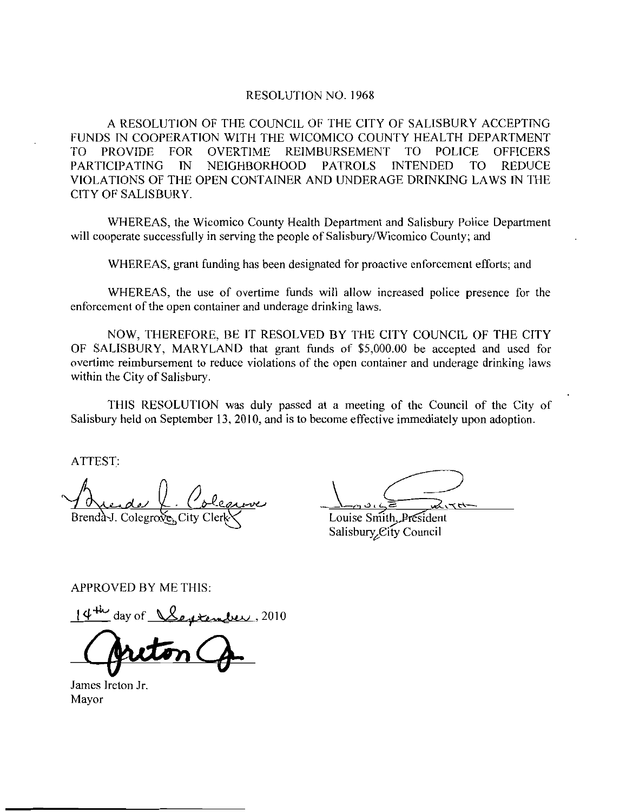## RESOLUTION NO. 1968

A RESOLUTION OF THE COUNCIL OF THE CITY OF SALISBURY ACCEPTING A RESOI<br>FUNDS IN COO<br>TO PROVIDE IN COOPERATION WITH THE WICOMICO COUNTY HEALTH FOR OVERTIME REIMBURSEMENT THE COUND<br>WITH THE TO POLICE OFFICERS Y ACCEPTING<br>DEPARTMENT<br>CE OFFICERS<br>TO REDUCE<br>LAWS IN THE PARTICIPATING IN NEIGHBORHOOD PATROLS INTENDED TO REDUCE VIOLATIONS OP THE OPEN CONTAINER AND UNDERAGE DRINKING LAWS IN fHE CITY OF SALISBURY

WHEREAS the Wicomico County Health Department and Salisbury Police Department will cooperate successfully in serving the people of Salisbury/Wicomico County; and

WHEREAS, grant funding has been designated for proactive enforcement efforts; and

WHEREAS, the use of overtime funds will allow increased police presence for the enforcement of the open container and underage drinking laws.

NOW, THEREFORE, BE IT RESOLVED BY THE CITY COUNCIL OF THE CITY WHEREAS, the use of overtime funds will allow increased police presence for the<br>enforcement of the open container and underage drinking laws.<br>NOW, THEREFORE, BE IT RESOLVED BY THE CITY COUNCIL OF THE CITY<br>OF SALISBURY, MAR within the City of Salisbury.

THIS RESOLUTION was duly passed at a meeting of the Council of the City of Salisbury held on September 13, 2010, and is to become effective immediately upon adoption.

ATTEST

Brenda-J. Colegrove, City Captaine de la Contention<br>De la Coleanne<br>Degrove, City Clerk

Louise Smith, President Salisbury, City Council

APPROVED BY ME THIS

 $\sqrt{\frac{14^{4h}}{2}}$  day of  $\sqrt{\frac{2e^{\mu}}{h}}$ 

James Ireton Jr Mayor